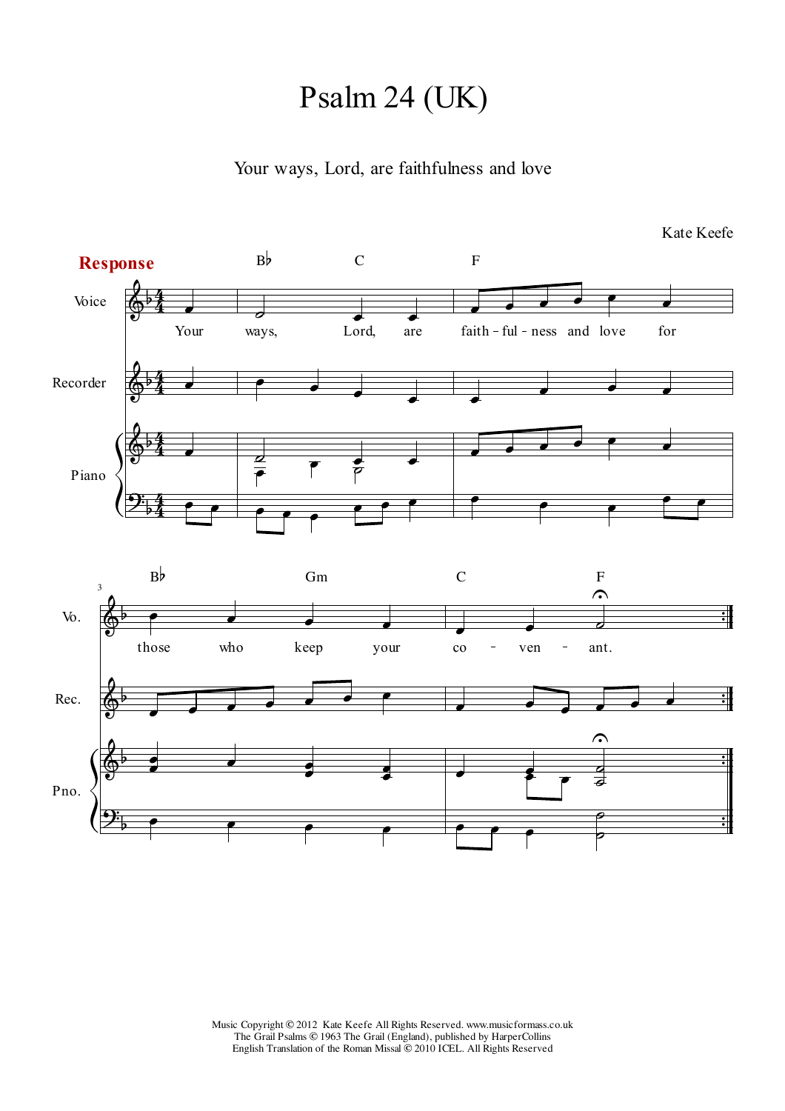## Psalm 24 (UK)

Your ways, Lord, are faithfulness and love

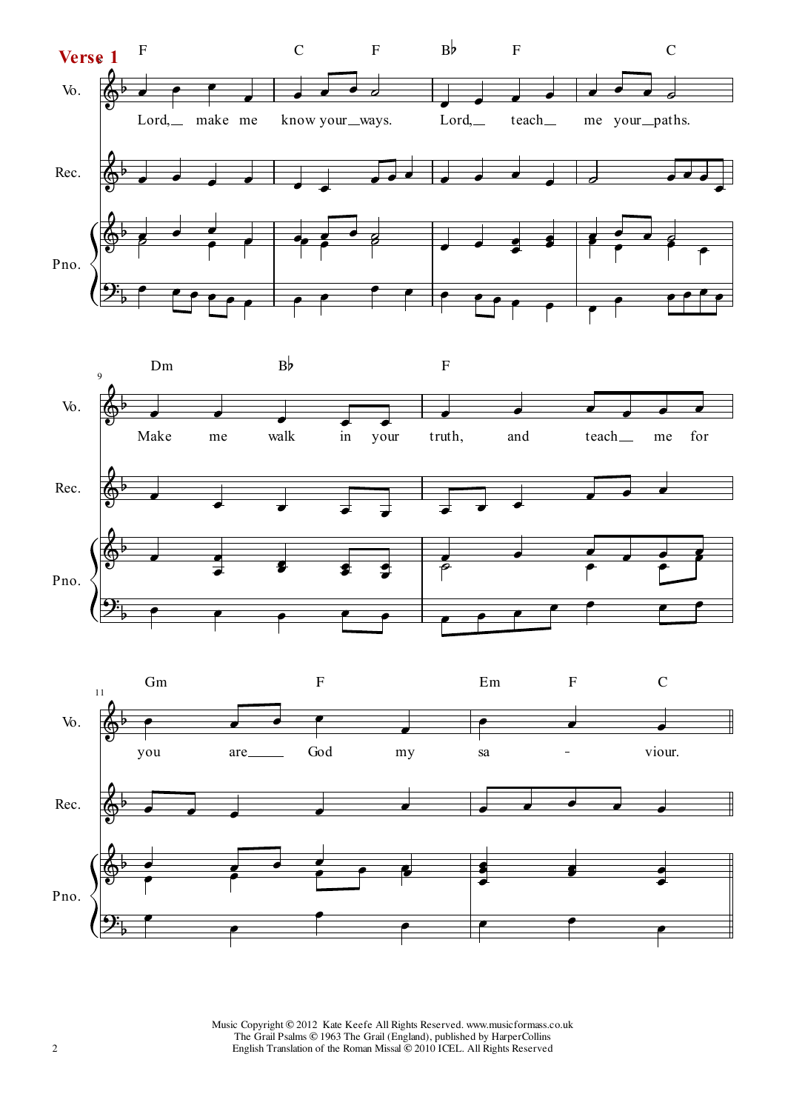



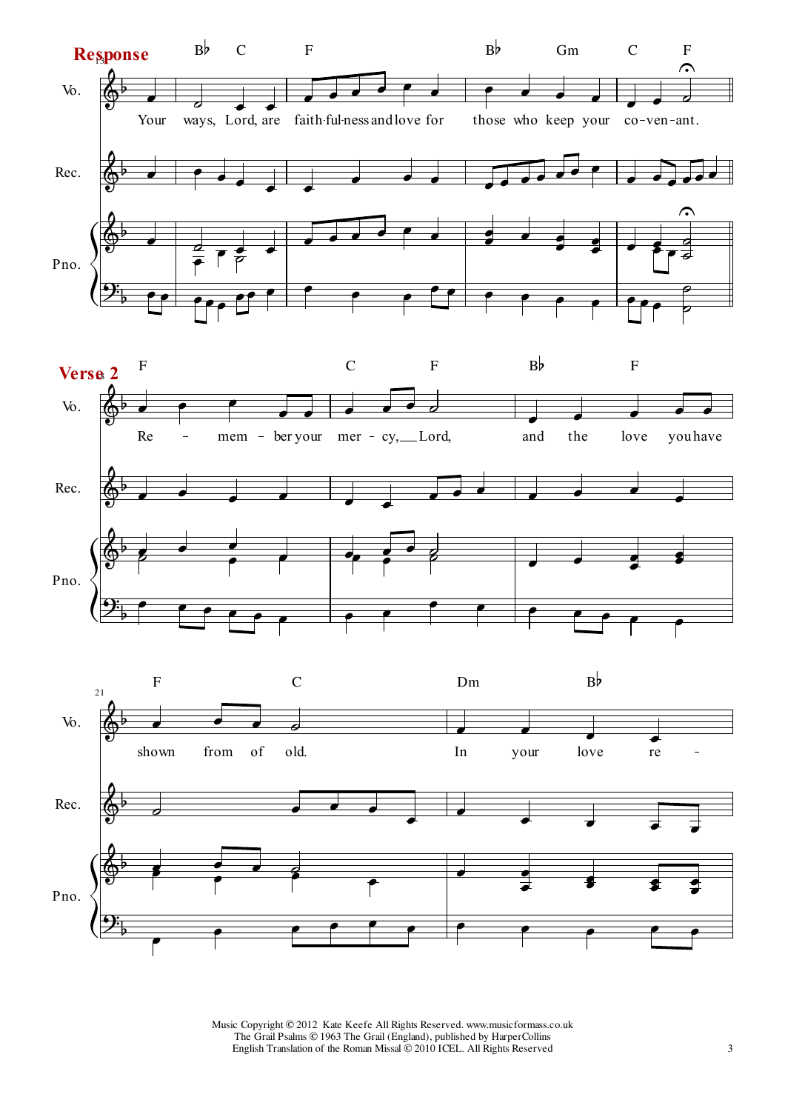



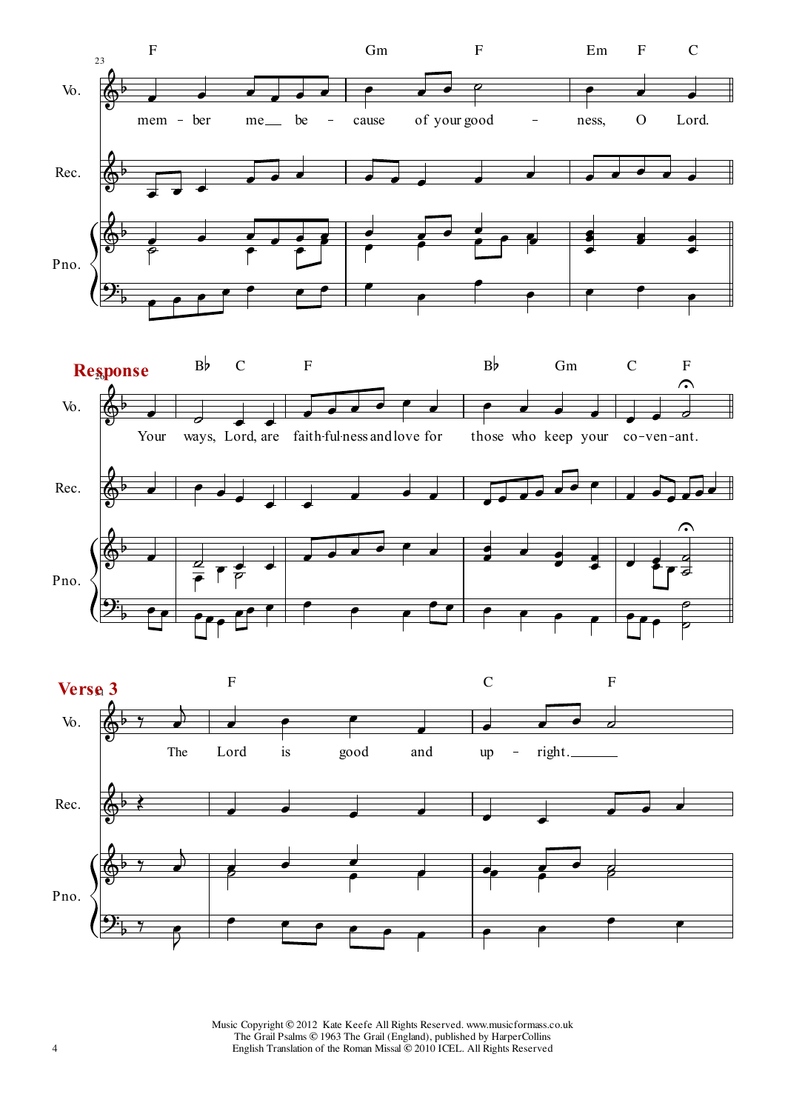